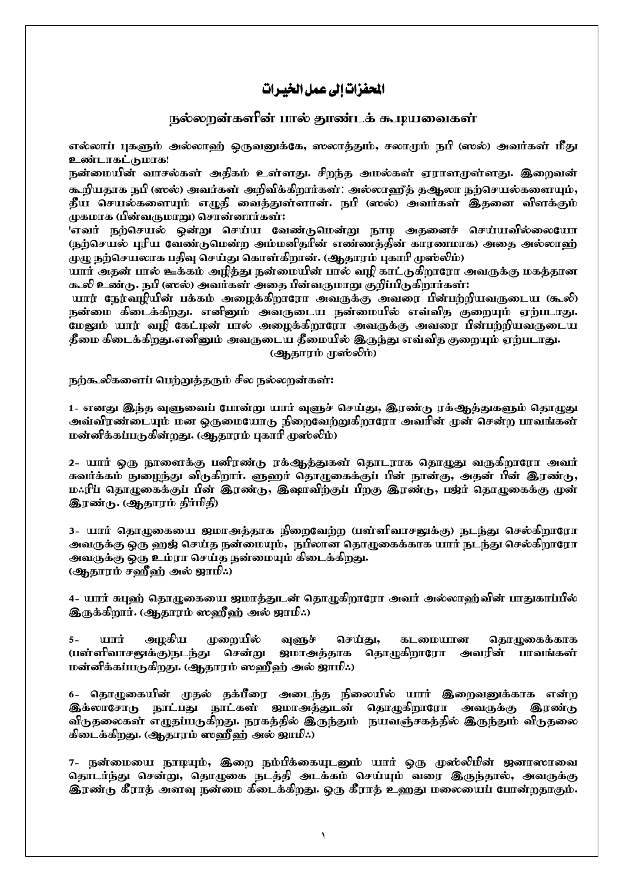## المحفزات إلى عمل الخيبرات

## நல்லறன்களின் பால் தூண்டக் கூழயவைகள்

எல்லாப் பகளும் அல்லாள் கொவனுக்கே, ஸலாக்கும், சலாமம் நபி (ஸல்) அவர்கள் மீது உண்டாகட்டுமாக!

நன்மையின் வாசல்கள் அதிகம் உள்ளது. சிறந்த அமல்கள் ஏராளமுள்ளது. இறைவன் கூறியதாக நபி (ஸல்) அவர்கள் அறிவிக்கிறார்கள்: அல்லாஹீத் தஆலா நற்செயல்களையும், தீய செயல்களையும் எழுதி வைத்துள்ளான். நபி (ஸல்) அவர்கள் இதனை விளக்கும் முகமாக (பின்வருமாறு) சொன்னார்கள்:

'எவர் நற்செயல் ஒன்று செய்ய வேண்டுமென்று நூழ அதனைச் செய்யவில்லையோ ருற்செயல் புரிய வேண்டுமென்ற அம்மனிதரின் எண்ணத்தின் காரணமாக) அதை அல்லாள் முழு நற்செயலாக பதிவு செய்து கொள்கிறான். (ஆதாரம் புகாரி முஸ்லிம்)

யார் அதன் பால் ஊக்கம் அழித்து நன்மையின் பால் வழி காட்டுகிறாரோ அவருக்கு மகத்தான கூலி உண்டு. நபி (ஸல்) அவர்கள் அதை பின்வருமாறு குறிப்பிடுகிறார்கள்:

யார் நேர்வழியின் பக்கம் அழைக்கிறாரோ அவருக்கு அவரை பின்பற்றியவருடைய (கூலி) நன்மை கிடைக்கிறது. எனினும் அவருடைய நன்மையில் எவ்வித குறையும் ஏற்படாது. மேஷம் யார் வழி கேட்டின் பால் அழைக்கிறாரோ அவருக்கு அவரை பின்பற்றியவருடைய தீமை கிடைக்கிறது.எனினும் அவருடைய தீமையில் இருந்து எவ்வித குறையும் ஏற்படாது. (ஆதாரம் முஸ்லிம்)

நற்கூலிகளைப் பெற்றுத்தரும் சில நல்லறன்கள்:

1- எனது இந்த வளுவைப் போன்று யார் வளுச் செய்து, இரண்டு ரக்ஆத்துகளும் தொழுது அவ்விரண்டையும் மன ஒருமையோகு நிறைவேற்றுகிறாரோ அவரின் முன் சென்ற பாவங்கள் மன்னிக்கப்படுகின்றது. (ஆதாரம் புகாரி முஸ்லிம்)

2- யார் ஒரு நாளைக்கு பனிரண்டு ரக்ஆத்துகள் தொடராக தொழுது வருகிறாரோ அவர் கவர்க்கம் நுறைந்து விடுகிறார். ளுளர் தொழுகைக்குப் பின் நூன்கு, அதன் பின் இரண்டு, ம.ரிப் தொழுகைக்குப் பின் இரண்டு, இஷாவிற்குப் பிறகு இரண்டு, பஜ்ர் தொழுகைக்கு முன் இரண்டு. (ஆதாரம் திர்மிதி)

3- யார் தொழுகையை ஜமாஅத்தாக நிறைவேற்ற (பள்ளிவாசனுக்கு) நடந்து செல்கிறாரோ அவருக்கு ஒரு ஹஜ் செய்த நன்மையும்,நபீலான தொழுகைக்காக யார் நடந்து செல்கிறாரோ அவருக்கு ஒரு உம்ரா செய்த நன்மையும் கிடைக்கிறது. (ஆதாரம் சஹீஹ் அல் ஜாமி:)

4- யார் சுபுஹ் தொழுகையை ஜமாத்துடன் தொழுகிறாரோ அவர் அல்லாஹ்வின் பாதுகாப்பில் இருக்கிறார். (ஆதாரம் ஸஹீஹ் அல் ஜாமி:.)

 $5 \mathbf{H}$ அமகிய முறையில் வளுச் செய்து, கடமையான கொழுகைக்காக (பள்ளிவாசனுக்கு)நடந்து சென்று ஜமாஅத்தாக தொழுகிறாரோ அவரின் பாவங்கள் மன்னிக்கப்படுகிறது. (ஆதாரம் ஸஹீஹ் அல் ஜாமி:.)

6- தொழுகையின் முதல் தக்பீரை அடைந்த நிலையில் யார் இறைவனுக்காக என்ற இக்லாசோடு நாட்பது நாட்கள் ஜமாஅத்துடன் தொழுகிறாரோ அவருக்கு இரண்டு விருதலைகள் எழுதப்பருகிறது. நரகத்தில் இருந்தும் நயவஞ்சகத்தில் இருந்தும் விருதலை கிடைக்கிறது. (ஆதூரம் ஸஹீஹ் அல் ஜாமி:.)

7- நன்மையை நாழயும், இறை நம்பீக்கையுடனும் யார் ஒரு முஸ்லிமின் ஜனாஸாவை தொடர்ந்து சென்று, தொழுகை நடத்தி அடக்கம் செய்யும் வரை இருந்தால், அவருக்கு இரண்டு கீராத் அளவு நன்மை கிடைக்கிறது. ஒரு கீராத் உஹது மலையைப் போன்றதாகும்.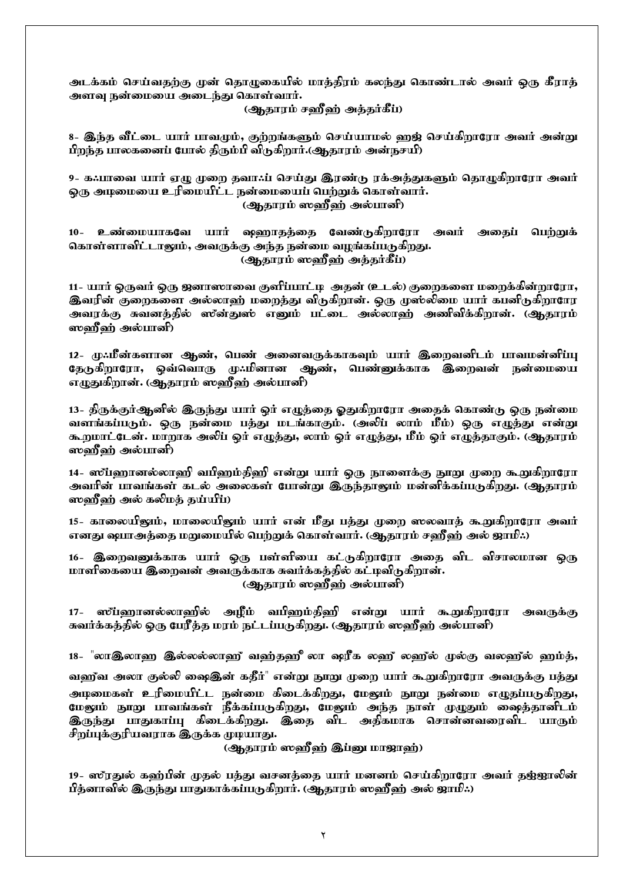<u>அ</u>டக்கம் செய்வதற்கு முன் தொழுகையில் மாத்திரம் கலந்து கொண்டால் அவர் ஒரு கீராத் அளவு நன்மையை அடைந்து கொள்வார்.

(**ஆ**தாரம் ச**வீ**ள் அத்தர்கீப்)

8- இந்த வீட்டை யார் பாவமும், குற்றங்களும் செய்யாமல் ஹஜ் செய்கிறாரோ அவர் அன்று பிறந்த பாலகனைப் போல் திரும்பி விருகிறார்.(ஆதாரம் அன்நசயி)

9- க.:பாவை யார் ஏழு முறை தவா.:ப் செய்து இரண்டு ரக்அத்துகளும் தொழுகிறாரோ அவர் லரு அழமையை உரிமையிட்ட நன்மையைப் பெற்றுக் கொள்வார். (ஆதாரம் ஸஹீ்ஹ் அல்பானி)

10- உண்மையாகவே யார் ஷறைாதத்தை வேண்டுகிறாரோ அவர் அதைப் பெற்றுக் கொள்ளாவிட்டாலும், அவருக்கு அந்த நன்மை வழங்கப்படுகிறது. (ஆதாரம் ஸஹீஹ் அத்தர்கீப்)

11- யார் ஒருவர் ஒரு ஜனாஸாவை குளி்ப்பாட்டி அதன் (உடல்) குறைகளை மறைக்கின்றாரோ, இவரின் குறைகளை அல்லாஹ் மறைத்து விருகிறான். ஒரு முஸ்லிமை யார் கபனிருகிறாரோ அவரக்கு சுவனத்தில் ஸீன்துஸ் எனும் பட்டை அல்லாஹ் அணிவிக்கிறான். (ஆதாரம் ஸ்ஹீஹ் அல்பானி)

12- மு:மீன்களான ஆண், பெண் அனைவருக்காகவும் யார் இறைவனிடம் பாவமன்னிப்பு நேடுகிறாரோ, ஒவ்வொரு முஃமினான ஆண், பெண்னுக்காக இறைவன் நன்மையை எழுதுகிறான். (ஆதாரம் ஸஹீஹ் அல்பானி)

13- திருக்குர்ஆனில் இருந்து யார் ஒர் எழுத்தை ஓதுகிறாரோ அதைக் கொண்டு ஒரு நன்மை வளங்கப்படும். ஒரு நன்மை பத்து மடங்காகும். (அலிப் லாம் மீம்) ஒரு எழுத்து என்று கூறமாட்டேன். மாறாக அலிப் ஒர் எழுத்து, லாம் ஒர் எழுத்து, மீம் ஒர் எழுத்தாகும். (ஆதாரம் ஸஹீஹ் அல்பானி)

14- ஸ്ப்ஹானல்லாஹி வபிஹம்திஹி என்று யார் ஒரு நூளைக்கு நூறு முறை கூறுகிறாரோ அவரின் பாவங்கள் கடல் அலைகள் போன்று இருந்தாலும் மன்னிக்கப்படுகிறது. (ஆதாரம் ஸ்ஹீஹ் அல் கலிமக் தய்யிப்)

15- காலையிலும், மாலையிலும் யார் என் மீது பத்து முறை ஸலவாத் கூறுகிறாரோ அவர் எனது ஷயாஅத்தை மறுமையில் பெற்றுக் கொள்வார். (ஆதாரம் சஹீஹ் அல் ஜாமி:.)

16- இறைவனுக்காக யார் ஒரு பள்ளியை கட்டுகிறாரோ அதை விட விசாலமான ஒரு மாளிகையை இறைவன் அவருக்காக சுவர்க்கத்தில் கட்ழவிடுகிறான். (ஆதாரம் ஸஹீஹ் அல்பானி)

17- ஸப்ஹானல்லாஹில் அழீம் வபிஹம்திஹி என்று யார் கூறுகிறாரோ அவருக்கு சுவர்க்கத்தில் ஒரு பேரீத்த மரம் நட்டப்படுகிறது. (ஆதாரம் ஸஹீஹ் அல்பானி)

18- "லாஇலாஹ இல்லல்லாஹீ வஹ்தஹீ லா ஷரீக லஹீ லஹீல் முல்கு வலஹீல் ஹம்த்,

வணீவ அலா குல்லி ஷைஇன் கதீர்" என்று நூறு முறை யார் கூறுகிறாரோ அவருக்கு பத்து <u>அ</u>ழமைகள் உரிமையிட்ட நன்மை கிடைக்கிறது, மேலும் நூறு நன்மை எழுதப்படுகிறது, மேலும் நூறு பாவங்கள் நீக்கப்படுகிறது, மேலும் அந்த நாள் முழுதும் ஷைத்தானிடம் **இருந்து பாதுகாப்பு கிடைக்கிறது. இதை விட அ**திகமாக சொன்னவரைவிட யாரும் சிறப்புக்குரியவராக இருக்க முழயாது.

(ஆதாரம் ஸஹீஹ் இப்னு மா<u>ஜா</u>ஹ்)

19- ஸ்ரதுல் கஹ்பின் முதல் பத்து வசனத்தை யார் மனனம் செய்கிறாரோ அவர் தஜ்ஜாலின் <u>பீத்</u>னாவில் இருந்து பாதுகாக்கப்படுகிறார். (ஆதாரம் ஸஹீஹ் அல் ஜாமி:.)